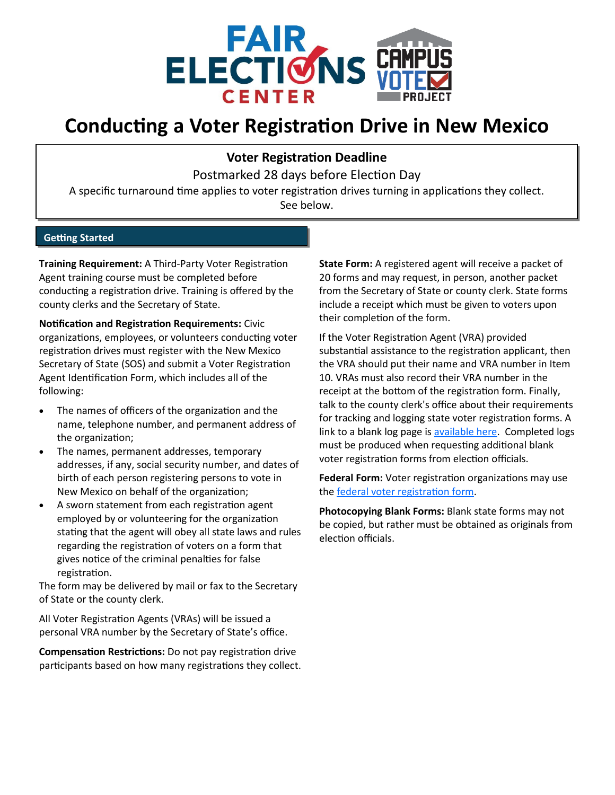

## **Conducting a Voter Registration Drive in New Mexico**

**Voter Registration Deadline**

Postmarked 28 days before Election Day

A specific turnaround time applies to voter registration drives turning in applications they collect. See below.

## **Getting Started**

**Training Requirement:** A Third-Party Voter Registration Agent training course must be completed before conducting a registration drive. Training is offered by the county clerks and the Secretary of State.

**Notification and Registration Requirements:** Civic organizations, employees, or volunteers conducting voter registration drives must register with the New Mexico Secretary of State (SOS) and submit a Voter Registration Agent Identification Form, which includes all of the following:

- The names of officers of the organization and the name, telephone number, and permanent address of the organization;
- The names, permanent addresses, temporary addresses, if any, social security number, and dates of birth of each person registering persons to vote in New Mexico on behalf of the organization;
- A sworn statement from each registration agent employed by or volunteering for the organization stating that the agent will obey all state laws and rules regarding the registration of voters on a form that gives notice of the criminal penalties for false registration.

The form may be delivered by mail or fax to the Secretary of State or the county clerk.

All Voter Registration Agents (VRAs) will be issued a personal VRA number by the Secretary of State's office.

**Compensation Restrictions:** Do not pay registration drive participants based on how many registrations they collect. **State Form:** A registered agent will receive a packet of 20 forms and may request, in person, another packet from the Secretary of State or county clerk. State forms include a receipt which must be given to voters upon their completion of the form.

If the Voter Registration Agent (VRA) provided substantial assistance to the registration applicant, then the VRA should put their name and VRA number in Item 10. VRAs must also record their VRA number in the receipt at the bottom of the registration form. Finally, talk to the county clerk's office about their requirements for tracking and logging state voter registration forms. A link to a blank log page is [available here.](https://www.sos.state.nm.us/voting-and-elections/voter-information/third-party-voter-registration-agents/) Completed logs must be produced when requesting additional blank voter registration forms from election officials.

**Federal Form:** Voter registration organizations may use the [federal voter registration form.](https://www.eac.gov/voters/national-mail-voter-registration-form/)

**Photocopying Blank Forms:** Blank state forms may not be copied, but rather must be obtained as originals from election officials.